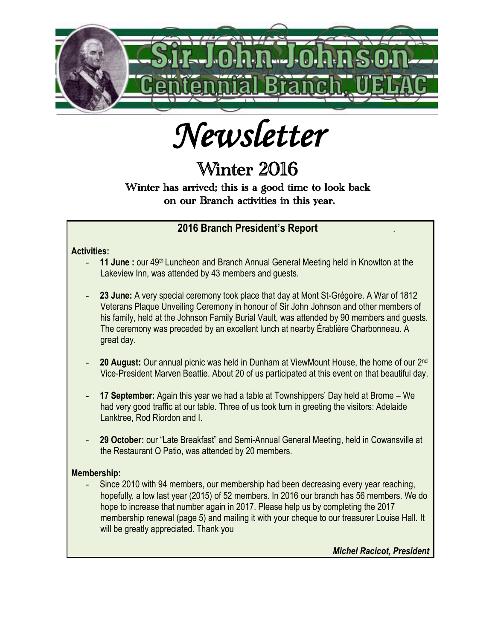

*Newsletter* 

# Winter 2016

## Winter has arrived; this is a good time to look back on our Branch activities in this year.

### $\ddot{\phantom{a}}$  **2016 Branch President's Report** .

#### **Activities:**

- 11 June: our 49<sup>th</sup> Luncheon and Branch Annual General Meeting held in Knowlton at the Lakeview Inn, was attended by 43 members and guests.
- **23 June:** A very special ceremony took place that day at Mont St-Grégoire. A War of 1812 Veterans Plaque Unveiling Ceremony in honour of Sir John Johnson and other members of his family, held at the Johnson Family Burial Vault, was attended by 90 members and guests. The ceremony was preceded by an excellent lunch at nearby Érablière Charbonneau. A great day.
- 20 August: Our annual picnic was held in Dunham at ViewMount House, the home of our 2<sup>nd</sup> Vice-President Marven Beattie. About 20 of us participated at this event on that beautiful day.
- 17 September: Again this year we had a table at Townshippers' Day held at Brome We had very good traffic at our table. Three of us took turn in greeting the visitors: Adelaide Lanktree, Rod Riordon and I.
- 29 October: our "Late Breakfast" and Semi-Annual General Meeting, held in Cowansville at the Restaurant O Patio, was attended by 20 members.

#### **Membership:**

Since 2010 with 94 members, our membership had been decreasing every year reaching, hopefully, a low last year (2015) of 52 members. In 2016 our branch has 56 members. We do hope to increase that number again in 2017. Please help us by completing the 2017 membership renewal (page 5) and mailing it with your cheque to our treasurer Louise Hall. It will be greatly appreciated. Thank you

*Michel Racicot, President*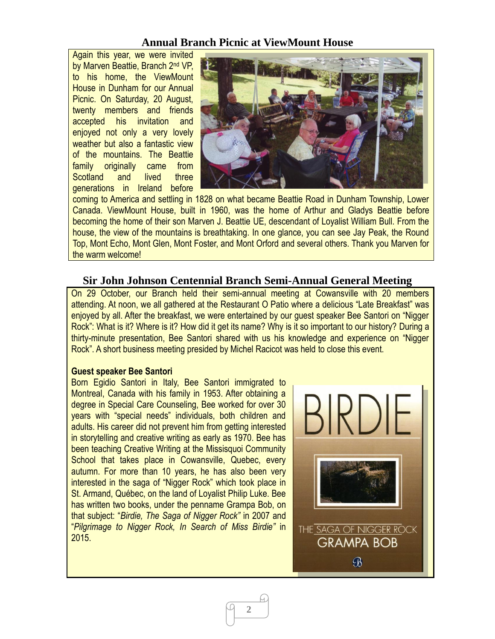### **Annual Branch Picnic at ViewMount House**

Again this year, we were invited by Marven Beattie, Branch 2<sup>nd</sup> VP, to his home, the ViewMount House in Dunham for our Annual Picnic. On Saturday, 20 August, twenty members and friends accepted his invitation and enjoyed not only a very lovely weather but also a fantastic view of the mountains. The Beattie family originally came from Scotland and lived three generations in Ireland before



coming to America and settling in 1828 on what became Beattie Road in Dunham Township, Lower Canada. ViewMount House, built in 1960, was the home of Arthur and Gladys Beattie before becoming the home of their son Marven J. Beattie UE, descendant of Loyalist William Bull. From the house, the view of the mountains is breathtaking. In one glance, you can see Jay Peak, the Round Top, Mont Echo, Mont Glen, Mont Foster, and Mont Orford and several others. Thank you Marven for the warm welcome!

#### **Sir John Johnson Centennial Branch Semi-Annual General Meeting**

On 29 October, our Branch held their semi-annual meeting at Cowansville with 20 members attending. At noon, we all gathered at the Restaurant O Patio where a delicious "Late Breakfast" was enjoyed by all. After the breakfast, we were entertained by our guest speaker Bee Santori on "Nigger Rock": What is it? Where is it? How did it get its name? Why is it so important to our history? During a thirty-minute presentation, Bee Santori shared with us his knowledge and experience on "Nigger Rock". A short business meeting presided by Michel Racicot was held to close this event.

**2**

#### **Guest speaker Bee Santori**

Born Egidio Santori in Italy, Bee Santori immigrated to Montreal, Canada with his family in 1953. After obtaining a degree in Special Care Counseling, Bee worked for over 30 years with "special needs" individuals, both children and adults. His career did not prevent him from getting interested in storytelling and creative writing as early as 1970. Bee has been teaching Creative Writing at the Missisquoi Community School that takes place in Cowansville, Quebec, every autumn. For more than 10 years, he has also been very interested in the saga of "Nigger Rock" which took place in St. Armand, Québec, on the land of Loyalist Philip Luke. Bee has written two books, under the penname Grampa Bob, on that subject: "*Birdie, The Saga of Nigger Rock"* in 2007 and "*Pilgrimage to Nigger Rock, In Search of Miss Birdie"* in 2015.

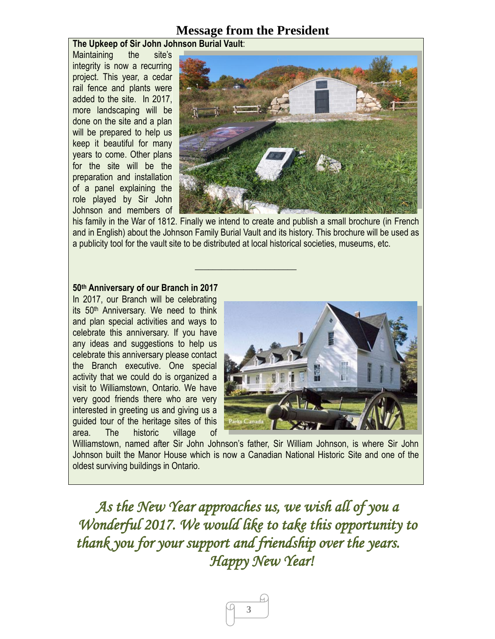## **Message from the President**

#### **The Upkeep of Sir John Johnson Burial Vault**:

Maintaining the site's integrity is now a recurring project. This year, a cedar rail fence and plants were added to the site. In 2017, more landscaping will be done on the site and a plan will be prepared to help us keep it beautiful for many years to come. Other plans for the site will be the preparation and installation of a panel explaining the role played by Sir John Johnson and members of



his family in the War of 1812. Finally we intend to create and publish a small brochure (in French and in English) about the Johnson Family Burial Vault and its history. This brochure will be used as a publicity tool for the vault site to be distributed at local historical societies, museums, etc.

**\_\_\_\_\_\_\_\_\_\_\_\_\_\_\_\_\_\_\_\_\_\_\_** 

#### **50th Anniversary of our Branch in 2017**

In 2017, our Branch will be celebrating its 50<sup>th</sup> Anniversary. We need to think and plan special activities and ways to celebrate this anniversary. If you have any ideas and suggestions to help us celebrate this anniversary please contact the Branch executive. One special activity that we could do is organized a visit to Williamstown, Ontario. We have very good friends there who are very interested in greeting us and giving us a guided tour of the heritage sites of this area. The historic village of



Williamstown, named after Sir John Johnson's father, Sir William Johnson, is where Sir John Johnson built the Manor House which is now a Canadian National Historic Site and one of the oldest surviving buildings in Ontario.

*As the New Year approaches us, we wish all of you a Wonderful 2017. We would like to take this opportunity to thank you for your support and friendship over the years. Happy New Year!*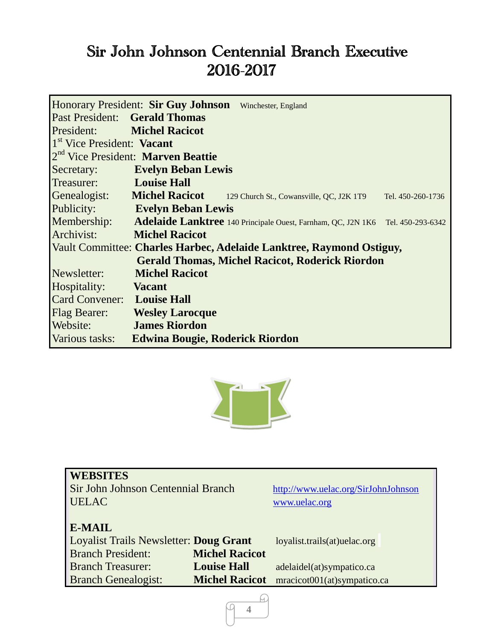# Sir John Johnson Centennial Branch Executive 2016-2017

|                                                                      | <b>Honorary President: Sir Guy Johnson</b> | Winchester, England                                                                        |                   |  |  |
|----------------------------------------------------------------------|--------------------------------------------|--------------------------------------------------------------------------------------------|-------------------|--|--|
|                                                                      | <b>Past President:</b> Gerald Thomas       |                                                                                            |                   |  |  |
| <b>President:</b> Michel Racicot                                     |                                            |                                                                                            |                   |  |  |
| 1 <sup>st</sup> Vice President: Vacant                               |                                            |                                                                                            |                   |  |  |
| 2 <sup>nd</sup> Vice President: Marven Beattie                       |                                            |                                                                                            |                   |  |  |
| Secretary:                                                           | <b>Explain Beban Lewis</b>                 |                                                                                            |                   |  |  |
| Treasurer: Louise Hall                                               |                                            |                                                                                            |                   |  |  |
|                                                                      |                                            | Genealogist: Michel Racicot 129 Church St., Cowansville, QC, J2K 1T9                       | Tel. 450-260-1736 |  |  |
| Publicity:                                                           | <b>Explain Beban Lewis</b>                 |                                                                                            |                   |  |  |
|                                                                      |                                            | Membership: Adelaide Lanktree 140 Principale Ouest, Farnham, QC, J2N 1K6 Tel. 450-293-6342 |                   |  |  |
| Archivist:                                                           | <b>Michel Racicot</b>                      |                                                                                            |                   |  |  |
| Vault Committee: Charles Harbec, Adelaide Lanktree, Raymond Ostiguy, |                                            |                                                                                            |                   |  |  |
|                                                                      |                                            | <b>Gerald Thomas, Michel Racicot, Roderick Riordon</b>                                     |                   |  |  |
| Newsletter:                                                          | <b>Michel Racicot</b>                      |                                                                                            |                   |  |  |
| Hospitality:                                                         | <b>Samuel Vacant</b>                       |                                                                                            |                   |  |  |
| Card Convener: Louise Hall                                           |                                            |                                                                                            |                   |  |  |
| Flag Bearer:                                                         | <b>Example 3 Wesley Larocque</b>           |                                                                                            |                   |  |  |
| Website:                                                             | <b>James Riordon</b>                       |                                                                                            |                   |  |  |
| Various tasks:                                                       | <b>Edwina Bougie, Roderick Riordon</b>     |                                                                                            |                   |  |  |



| <b>WEBSITES</b><br>Sir John Johnson Centennial Branch<br><b>UELAC</b>                      |                                             | http://www.uelac.org/SirJohnJohnson<br>www.uelac.org     |  |
|--------------------------------------------------------------------------------------------|---------------------------------------------|----------------------------------------------------------|--|
| <b>E-MAIL</b><br><b>Loyalist Trails Newsletter: Doug Grant</b><br><b>Branch President:</b> | <b>Michel Racicot</b>                       | loyalist.trails(at)uelac.org                             |  |
| <b>Branch Treasurer:</b><br><b>Branch Genealogist:</b>                                     | <b>Louise Hall</b><br><b>Michel Racicot</b> | adelaidel(at)sympatico.ca<br>mracicot001(at)sympatico.ca |  |

ſч **4**